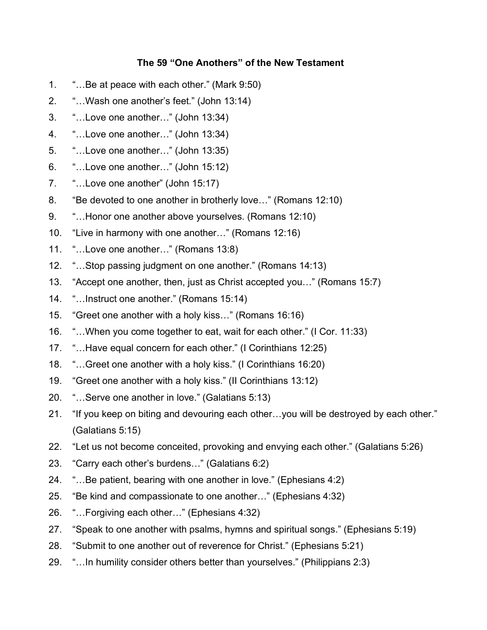## **The 59 "One Anothers" of the New Testament**

- 1. "…Be at peace with each other." (Mark 9:50)
- 2. "…Wash one another's feet." (John 13:14)
- 3. "…Love one another…" (John 13:34)
- 4. "…Love one another…" (John 13:34)
- 5. "…Love one another…" (John 13:35)
- 6. "…Love one another…" (John 15:12)
- 7. "…Love one another" (John 15:17)
- 8. "Be devoted to one another in brotherly love…" (Romans 12:10)
- 9. "…Honor one another above yourselves. (Romans 12:10)
- 10. "Live in harmony with one another…" (Romans 12:16)
- 11. "…Love one another…" (Romans 13:8)
- 12. "…Stop passing judgment on one another." (Romans 14:13)
- 13. "Accept one another, then, just as Christ accepted you…" (Romans 15:7)
- 14. "…Instruct one another." (Romans 15:14)
- 15. "Greet one another with a holy kiss…" (Romans 16:16)
- 16. "…When you come together to eat, wait for each other." (I Cor. 11:33)
- 17. "…Have equal concern for each other." (I Corinthians 12:25)
- 18. "…Greet one another with a holy kiss." (I Corinthians 16:20)
- 19. "Greet one another with a holy kiss." (II Corinthians 13:12)
- 20. "…Serve one another in love." (Galatians 5:13)
- 21. "If you keep on biting and devouring each other…you will be destroyed by each other." (Galatians 5:15)
- 22. "Let us not become conceited, provoking and envying each other." (Galatians 5:26)
- 23. "Carry each other's burdens…" (Galatians 6:2)
- 24. "…Be patient, bearing with one another in love." (Ephesians 4:2)
- 25. "Be kind and compassionate to one another…" (Ephesians 4:32)
- 26. "…Forgiving each other…" (Ephesians 4:32)
- 27. "Speak to one another with psalms, hymns and spiritual songs." (Ephesians 5:19)
- 28. "Submit to one another out of reverence for Christ." (Ephesians 5:21)
- 29. "…In humility consider others better than yourselves." (Philippians 2:3)